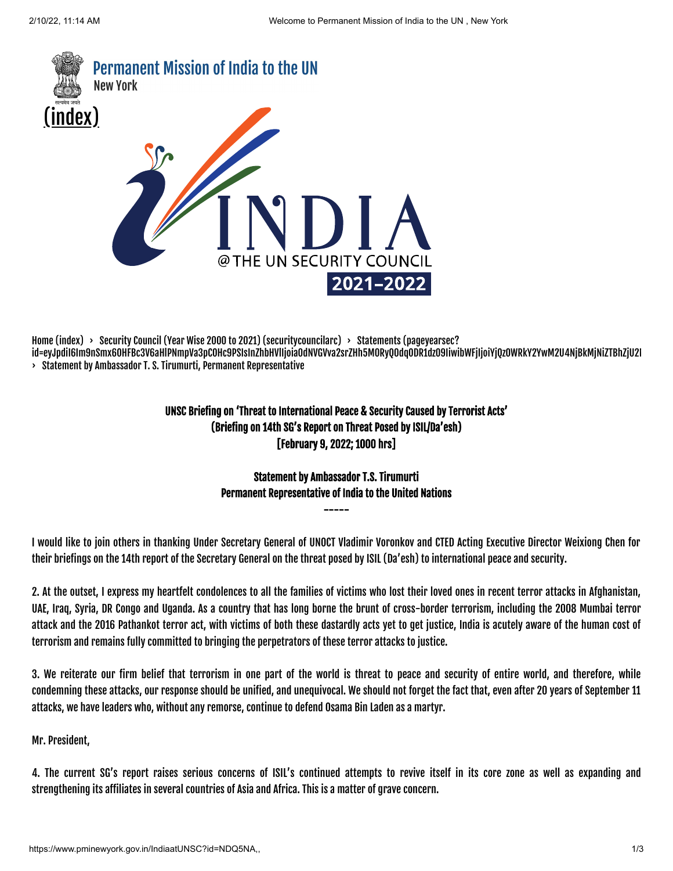

[Home \(index\)](https://www.pminewyork.gov.in/index)  $\rightarrow$  [Security Council \(Year Wise 2000 to 2021\)](https://www.pminewyork.gov.in/securitycouncilarc) (security councilarc)  $\rightarrow$  Statements (pageyearsec? [id=eyJpdiI6Im9nSmx6OHFBc3V6aHlPNmpVa3pCOHc9PSIsInZhbHVlIjoia0dNVGVva2srZHh5M0RyQ0dqODR1dz09IiwibWFjIjoiYjQzOWRkY2YwM2U4NjBkMjNiZTBhZjU2M](https://www.pminewyork.gov.in/pageyearsec?id=eyJpdiI6Im9nSmx6OHFBc3V6aHlPNmpVa3pCOHc9PSIsInZhbHVlIjoia0dNVGVva2srZHh5M0RyQ0dqODR1dz09IiwibWFjIjoiYjQzOWRkY2YwM2U4NjBkMjNiZTBhZjU2MzcwOTdhNzgxYzYxYzcxYjFiYTcwY2Q5OTJiM2EzYTc1NDMyNWEzYSJ9) › Statement by Ambassador T. S. Tirumurti, Permanent Representative

## UNSC Briefing on 'Threat to International Peace & Security Caused by Terrorist Acts' (Briefing on 14th SG's Report on Threat Posed by ISIL/Da'esh) [February 9, 2022; 1000 hrs]

# Statement by Ambassador T.S. Tirumurti Permanent Representative of India to the United Nations

-----

I would like to join others in thanking Under Secretary General of UNOCT Vladimir Voronkov and CTED Acting Executive Director Weixiong Chen for their briefings on the 14th report of the Secretary General on the threat posed by ISIL (Da'esh) to international peace and security.

2. At the outset, I express my heartfelt condolences to all the families of victims who lost their loved ones in recent terror attacks in Afghanistan, UAE, Iraq, Syria, DR Congo and Uganda. As a country that has long borne the brunt of cross-border terrorism, including the 2008 Mumbai terror attack and the 2016 Pathankot terror act, with victims of both these dastardly acts yet to get justice, India is acutely aware of the human cost of terrorism and remains fully committed to bringing the perpetrators of these terror attacks to justice.

3. We reiterate our firm belief that terrorism in one part of the world is threat to peace and security of entire world, and therefore, while condemning these attacks, our response should be unified, and unequivocal. We should not forget the fact that, even after 20 years of September 11 attacks, we have leaders who, without any remorse, continue to defend Osama Bin Laden as a martyr.

Mr. President,

4. The current SG's report raises serious concerns of ISIL's continued attempts to revive itself in its core zone as well as expanding and strengthening its affiliates in several countries of Asia and Africa. This is a matter of grave concern.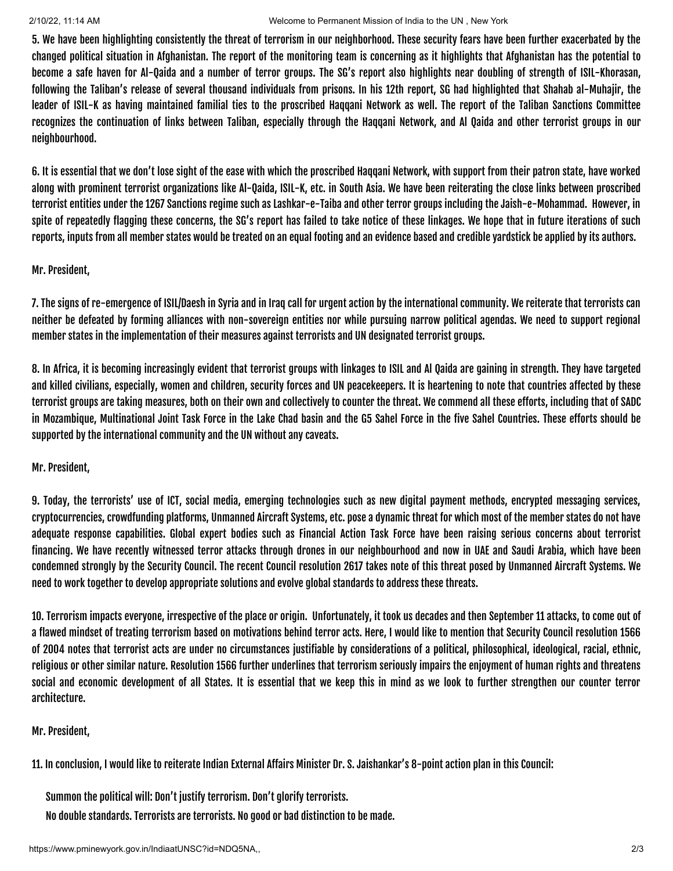#### 2/10/22, 11:14 AM Welcome to Permanent Mission of India to the UN , New York

5. We have been highlighting consistently the threat of terrorism in our neighborhood. These security fears have been further exacerbated by the changed political situation in Afghanistan. The report of the monitoring team is concerning as it highlights that Afghanistan has the potential to become a safe haven for Al-Qaida and a number of terror groups. The SG's report also highlights near doubling of strength of ISIL-Khorasan, following the Taliban's release of several thousand individuals from prisons. In his 12th report, SG had highlighted that Shahab al-Muhajir, the leader of ISIL-K as having maintained familial ties to the proscribed Haqqani Network as well. The report of the Taliban Sanctions Committee recognizes the continuation of links between Taliban, especially through the Haqqani Network, and Al Qaida and other terrorist groups in our neighbourhood.

6. It is essential that we don't lose sight of the ease with which the proscribed Haqqani Network, with support from their patron state, have worked along with prominent terrorist organizations like Al-Qaida, ISIL-K, etc. in South Asia. We have been reiterating the close links between proscribed terrorist entities under the 1267 Sanctions regime such as Lashkar-e-Taiba and other terror groups including the Jaish-e-Mohammad. However, in spite of repeatedly flagging these concerns, the SG's report has failed to take notice of these linkages. We hope that in future iterations of such reports, inputs from all member states would be treated on an equal footing and an evidence based and credible yardstick be applied by its authors.

### Mr. President,

7. The signs of re-emergence of ISIL/Daesh in Syria and in Iraq call for urgent action by the international community. We reiterate that terrorists can neither be defeated by forming alliances with non-sovereign entities nor while pursuing narrow political agendas. We need to support regional member states in the implementation of their measures against terrorists and UN designated terrorist groups.

8. In Africa, it is becoming increasingly evident that terrorist groups with linkages to ISIL and Al Qaida are gaining in strength. They have targeted and killed civilians, especially, women and children, security forces and UN peacekeepers. It is heartening to note that countries affected by these terrorist groups are taking measures, both on their own and collectively to counter the threat. We commend all these efforts, including that of SADC in Mozambique, Multinational Joint Task Force in the Lake Chad basin and the G5 Sahel Force in the five Sahel Countries. These efforts should be supported by the international community and the UN without any caveats.

### Mr. President,

9. Today, the terrorists' use of ICT, social media, emerging technologies such as new digital payment methods, encrypted messaging services, cryptocurrencies, crowdfunding platforms, Unmanned Aircraft Systems, etc. pose a dynamic threat for which most of the member states do not have adequate response capabilities. Global expert bodies such as Financial Action Task Force have been raising serious concerns about terrorist financing. We have recently witnessed terror attacks through drones in our neighbourhood and now in UAE and Saudi Arabia, which have been condemned strongly by the Security Council. The recent Council resolution 2617 takes note of this threat posed by Unmanned Aircraft Systems. We need to work together to develop appropriate solutions and evolve global standards to address these threats.

10. Terrorism impacts everyone, irrespective of the place or origin. Unfortunately, it took us decades and then September 11 attacks, to come out of a flawed mindset of treating terrorism based on motivations behind terror acts. Here, I would like to mention that Security Council resolution 1566 of 2004 notes that terrorist acts are under no circumstances justifiable by considerations of a political, philosophical, ideological, racial, ethnic, religious or other similar nature. Resolution 1566 further underlines that terrorism seriously impairs the enjoyment of human rights and threatens social and economic development of all States. It is essential that we keep this in mind as we look to further strengthen our counter terror architecture.

### Mr. President,

11. In conclusion, I would like to reiterate Indian External Affairs Minister Dr. S. Jaishankar's 8-point action plan in this Council:

Summon the political will: Don't justify terrorism. Don't glorify terrorists. No double standards. Terrorists are terrorists. No good or bad distinction to be made.